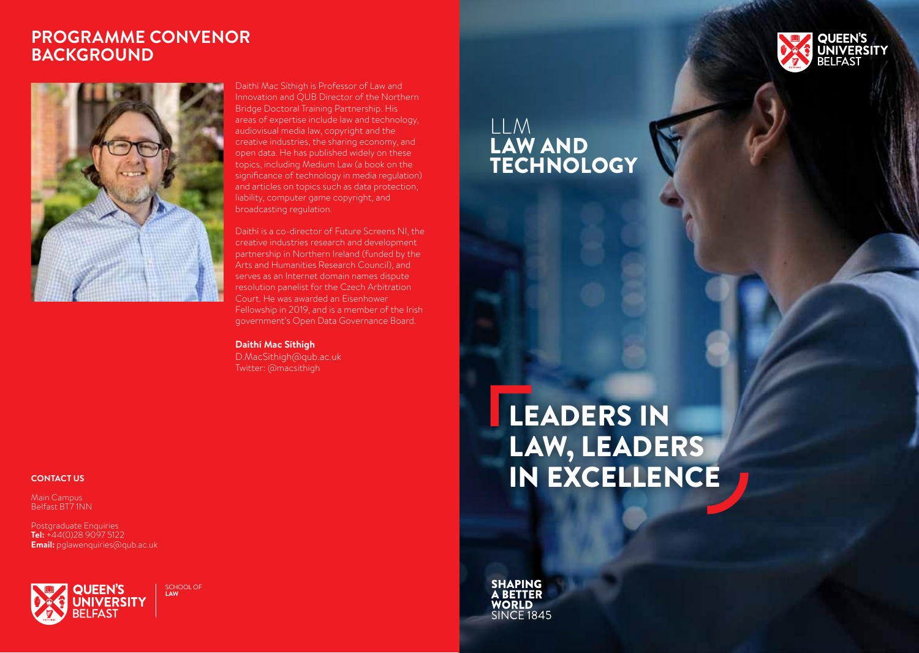### **PROGRAMME CONVENOR BACKGROUND**



Daithí Mac Síthigh is Professor of Law and Innovation and QUB Director of the Northern Bridge Doctoral Training Partnership. His areas of expertise include law and technology, audiovisual media law, copyright and the creative industries, the sharing economy, and open data. He has published widely on these topics, including Medium Law (a book on the significance of technology in media regulation) and articles on topics such as data protection, liability, computer game copyright, and broadcasting regulation.

Daithí is a co-director of Future Screens NI, the creative industries research and development partnership in Northern Ireland (funded by the Arts and Humanities Research Council), and serves as an Internet domain names dispute resolution panelist for the Czech Arbitration Court. He was awarded an Eisenhower Fellowship in 2019, and is a member of the Irish government's Open Data Governance Board.

**Daithí Mac Síthigh**  D.MacSithigh@qub.ac.uk Twitter: @macsithigh

#### **CONTACT US**

Main Campus Belfast BT7 1NN

Postgraduate Enquiries **Tel:** +44(0)28 9097 5122 **Email:** pglawenquiries@qub.ac.uk



SCHOOL OF **LAW**

### LLM LAW AND **TECHNOLOGY**

# LEADERS IN LAW, LEADERS IN EXCELLENCE

**SHAPING A BETTER WORLD SINCE 1845**